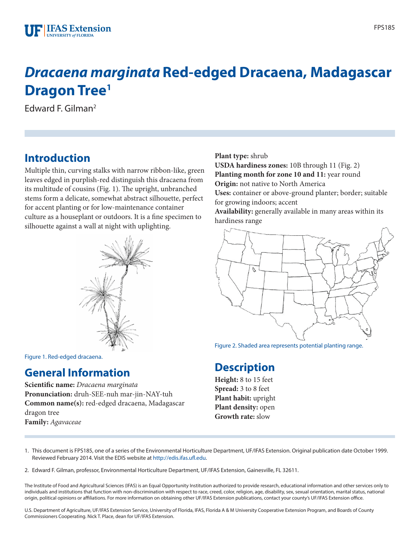# *Dracaena marginata* **Red-edged Dracaena, Madagascar Dragon Tree1**

Edward F. Gilman2

## **Introduction**

Multiple thin, curving stalks with narrow ribbon-like, green leaves edged in purplish-red distinguish this dracaena from its multitude of cousins (Fig. 1). The upright, unbranched stems form a delicate, somewhat abstract silhouette, perfect for accent planting or for low-maintenance container culture as a houseplant or outdoors. It is a fine specimen to silhouette against a wall at night with uplighting.



Figure 1. Red-edged dracaena.

### **General Information**

**Scientific name:** *Dracaena marginata* **Pronunciation:** druh-SEE-nuh mar-jin-NAY-tuh **Common name(s):** red-edged dracaena, Madagascar dragon tree **Family:** *Agavaceae*

**Plant type:** shrub

**USDA hardiness zones:** 10B through 11 (Fig. 2) **Planting month for zone 10 and 11:** year round **Origin:** not native to North America **Uses:** container or above-ground planter; border; suitable

for growing indoors; accent **Availability:** generally available in many areas within its hardiness range



Figure 2. Shaded area represents potential planting range.

### **Description**

**Height:** 8 to 15 feet **Spread:** 3 to 8 feet **Plant habit:** upright **Plant density:** open **Growth rate:** slow

1. This document is FPS185, one of a series of the Environmental Horticulture Department, UF/IFAS Extension. Original publication date October 1999. Reviewed February 2014. Visit the EDIS website at<http://edis.ifas.ufl.edu>.

2. Edward F. Gilman, professor, Environmental Horticulture Department, UF/IFAS Extension, Gainesville, FL 32611.

The Institute of Food and Agricultural Sciences (IFAS) is an Equal Opportunity Institution authorized to provide research, educational information and other services only to individuals and institutions that function with non-discrimination with respect to race, creed, color, religion, age, disability, sex, sexual orientation, marital status, national origin, political opinions or affiliations. For more information on obtaining other UF/IFAS Extension publications, contact your county's UF/IFAS Extension office.

U.S. Department of Agriculture, UF/IFAS Extension Service, University of Florida, IFAS, Florida A & M University Cooperative Extension Program, and Boards of County Commissioners Cooperating. Nick T. Place, dean for UF/IFAS Extension.